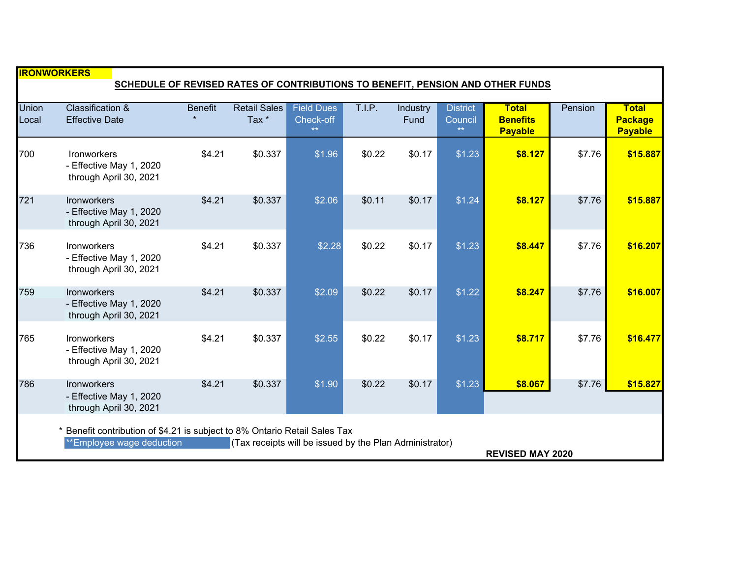| <b>IRONWORKERS</b>                                                                                                                                                                          |                                                                  |                |                              |                                                |        |                  |                                            |                                                   |         |                                                  |
|---------------------------------------------------------------------------------------------------------------------------------------------------------------------------------------------|------------------------------------------------------------------|----------------|------------------------------|------------------------------------------------|--------|------------------|--------------------------------------------|---------------------------------------------------|---------|--------------------------------------------------|
| SCHEDULE OF REVISED RATES OF CONTRIBUTIONS TO BENEFIT, PENSION AND OTHER FUNDS                                                                                                              |                                                                  |                |                              |                                                |        |                  |                                            |                                                   |         |                                                  |
| <b>Union</b><br>Local                                                                                                                                                                       | <b>Classification &amp;</b><br><b>Effective Date</b>             | <b>Benefit</b> | <b>Retail Sales</b><br>Tax * | <b>Field Dues</b><br>Check-off<br>$\star\star$ | T.I.P. | Industry<br>Fund | <b>District</b><br>Council<br>$\star\star$ | <b>Total</b><br><b>Benefits</b><br><b>Payable</b> | Pension | <b>Total</b><br><b>Package</b><br><b>Payable</b> |
| 700                                                                                                                                                                                         | Ironworkers<br>- Effective May 1, 2020<br>through April 30, 2021 | \$4.21         | \$0.337                      | \$1.96                                         | \$0.22 | \$0.17           | \$1.23                                     | \$8.127                                           | \$7.76  | \$15.887                                         |
| 721                                                                                                                                                                                         | Ironworkers<br>- Effective May 1, 2020<br>through April 30, 2021 | \$4.21         | \$0.337                      | \$2.06                                         | \$0.11 | \$0.17           | \$1.24                                     | \$8.127                                           | \$7.76  | \$15.887                                         |
| 736                                                                                                                                                                                         | Ironworkers<br>- Effective May 1, 2020<br>through April 30, 2021 | \$4.21         | \$0.337                      | \$2.28                                         | \$0.22 | \$0.17           | \$1.23                                     | \$8.447                                           | \$7.76  | \$16.207                                         |
| 759                                                                                                                                                                                         | Ironworkers<br>- Effective May 1, 2020<br>through April 30, 2021 | \$4.21         | \$0.337                      | \$2.09                                         | \$0.22 | \$0.17           | \$1.22                                     | \$8.247                                           | \$7.76  | \$16.007                                         |
| 765                                                                                                                                                                                         | Ironworkers<br>- Effective May 1, 2020<br>through April 30, 2021 | \$4.21         | \$0.337                      | \$2.55                                         | \$0.22 | \$0.17           | \$1.23                                     | \$8.717                                           | \$7.76  | \$16.477                                         |
| 786                                                                                                                                                                                         | Ironworkers<br>- Effective May 1, 2020<br>through April 30, 2021 | \$4.21         | \$0.337                      | \$1.90                                         | \$0.22 | \$0.17           | \$1.23                                     | \$8.067                                           | \$7.76  | \$15.827                                         |
| Benefit contribution of \$4.21 is subject to 8% Ontario Retail Sales Tax<br>**Employee wage deduction<br>(Tax receipts will be issued by the Plan Administrator)<br><b>REVISED MAY 2020</b> |                                                                  |                |                              |                                                |        |                  |                                            |                                                   |         |                                                  |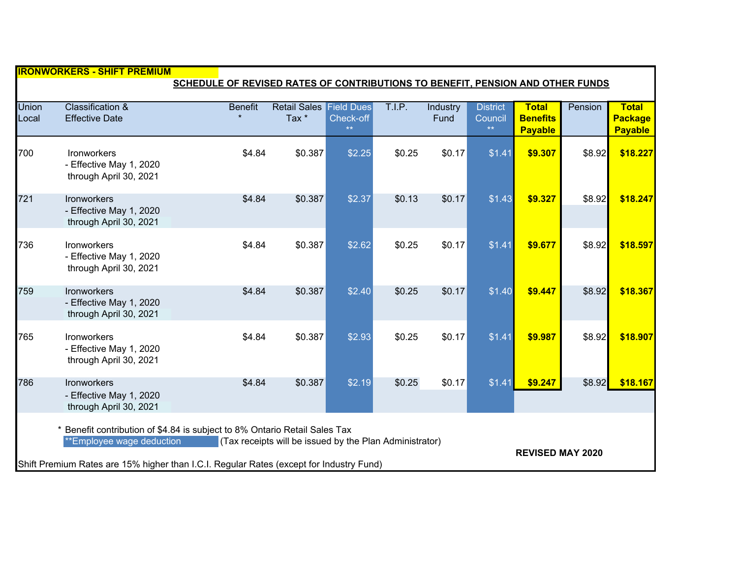|                                                                                                                                                                                                                                                                                        |                                                                         |                | <u> IIRONWORKERS - SHIFT PREMIUM</u> |                                        |        |                  |                                  |                                                   |         |                                                  |  |  |
|----------------------------------------------------------------------------------------------------------------------------------------------------------------------------------------------------------------------------------------------------------------------------------------|-------------------------------------------------------------------------|----------------|--------------------------------------|----------------------------------------|--------|------------------|----------------------------------|---------------------------------------------------|---------|--------------------------------------------------|--|--|
| SCHEDULE OF REVISED RATES OF CONTRIBUTIONS TO BENEFIT, PENSION AND OTHER FUNDS                                                                                                                                                                                                         |                                                                         |                |                                      |                                        |        |                  |                                  |                                                   |         |                                                  |  |  |
| <b>Union</b><br>Local                                                                                                                                                                                                                                                                  | <b>Classification &amp;</b><br><b>Effective Date</b>                    | <b>Benefit</b> | <b>Retail Sales</b><br>Tax *         | <b>Field Dues</b><br>Check-off<br>$**$ | T.I.P. | Industry<br>Fund | <b>District</b><br>Council<br>** | <b>Total</b><br><b>Benefits</b><br><b>Payable</b> | Pension | <b>Total</b><br><b>Package</b><br><b>Payable</b> |  |  |
| 700                                                                                                                                                                                                                                                                                    | Ironworkers<br>- Effective May 1, 2020<br>through April 30, 2021        | \$4.84         | \$0.387                              | \$2.25                                 | \$0.25 | \$0.17           | \$1.41                           | \$9.307                                           | \$8.92  | \$18.227                                         |  |  |
| 721                                                                                                                                                                                                                                                                                    | <b>Ironworkers</b><br>- Effective May 1, 2020<br>through April 30, 2021 | \$4.84         | \$0.387                              | \$2.37                                 | \$0.13 | \$0.17           | \$1.43                           | \$9.327                                           | \$8.92  | \$18.247                                         |  |  |
| 736                                                                                                                                                                                                                                                                                    | <b>Ironworkers</b><br>- Effective May 1, 2020<br>through April 30, 2021 | \$4.84         | \$0.387                              | \$2.62                                 | \$0.25 | \$0.17           | \$1.41                           | \$9.677                                           | \$8.92  | \$18.597                                         |  |  |
| 759                                                                                                                                                                                                                                                                                    | <b>Ironworkers</b><br>- Effective May 1, 2020<br>through April 30, 2021 | \$4.84         | \$0.387                              | \$2.40                                 | \$0.25 | \$0.17           | \$1.40                           | \$9.447                                           | \$8.92  | \$18.367                                         |  |  |
| 765                                                                                                                                                                                                                                                                                    | Ironworkers<br>- Effective May 1, 2020<br>through April 30, 2021        | \$4.84         | \$0.387                              | \$2.93                                 | \$0.25 | \$0.17           | \$1.41                           | \$9.987                                           | \$8.92  | \$18.907                                         |  |  |
| 786                                                                                                                                                                                                                                                                                    | Ironworkers<br>- Effective May 1, 2020<br>through April 30, 2021        | \$4.84         | \$0.387                              | \$2.19                                 | \$0.25 | \$0.17           | \$1.41                           | \$9.247                                           | \$8.92  | \$18.167                                         |  |  |
| Benefit contribution of \$4.84 is subject to 8% Ontario Retail Sales Tax<br>**Employee wage deduction<br>(Tax receipts will be issued by the Plan Administrator)<br><b>REVISED MAY 2020</b><br>Shift Premium Rates are 15% higher than I.C.I. Regular Rates (except for Industry Fund) |                                                                         |                |                                      |                                        |        |                  |                                  |                                                   |         |                                                  |  |  |